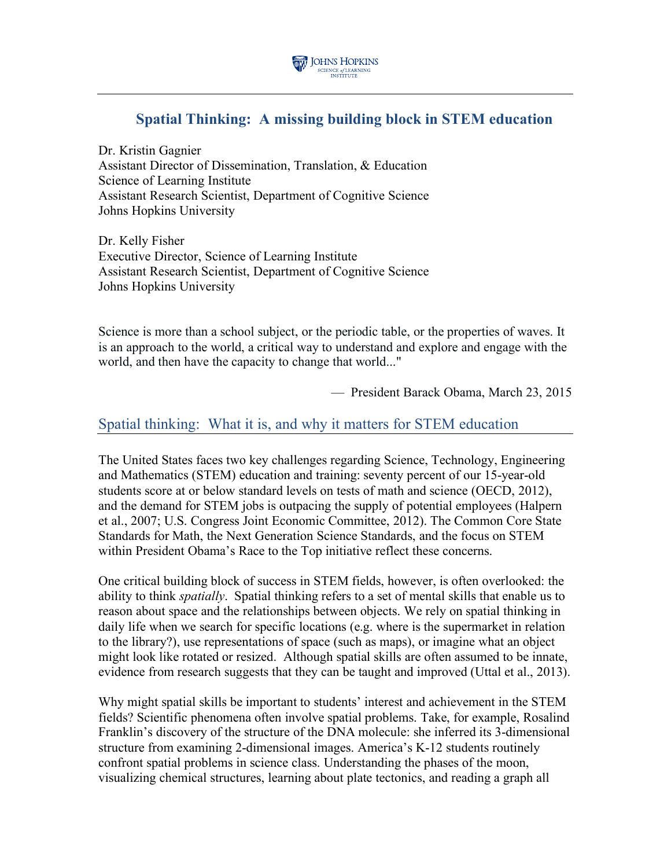

# **Spatial Thinking: A missing building block in STEM education**

Dr. Kristin Gagnier Assistant Director of Dissemination, Translation, & Education Science of Learning Institute Assistant Research Scientist, Department of Cognitive Science Johns Hopkins University

Dr. Kelly Fisher Executive Director, Science of Learning Institute Assistant Research Scientist, Department of Cognitive Science Johns Hopkins University

Science is more than a school subject, or the periodic table, or the properties of waves. It is an approach to the world, a critical way to understand and explore and engage with the world, and then have the capacity to change that world..."

— President Barack Obama, March 23, 2015

### Spatial thinking: What it is, and why it matters for STEM education

The United States faces two key challenges regarding Science, Technology, Engineering and Mathematics (STEM) education and training: seventy percent of our 15-year-old students score at or below standard levels on tests of math and science (OECD, 2012), and the demand for STEM jobs is outpacing the supply of potential employees (Halpern et al., 2007; U.S. Congress Joint Economic Committee, 2012). The Common Core State Standards for Math, the Next Generation Science Standards, and the focus on STEM within President Obama's Race to the Top initiative reflect these concerns.

One critical building block of success in STEM fields, however, is often overlooked: the ability to think *spatially*. Spatial thinking refers to a set of mental skills that enable us to reason about space and the relationships between objects. We rely on spatial thinking in daily life when we search for specific locations (e.g. where is the supermarket in relation to the library?), use representations of space (such as maps), or imagine what an object might look like rotated or resized. Although spatial skills are often assumed to be innate, evidence from research suggests that they can be taught and improved (Uttal et al., 2013).

Why might spatial skills be important to students' interest and achievement in the STEM fields? Scientific phenomena often involve spatial problems. Take, for example, Rosalind Franklin's discovery of the structure of the DNA molecule: she inferred its 3-dimensional structure from examining 2-dimensional images. America's K-12 students routinely confront spatial problems in science class. Understanding the phases of the moon, visualizing chemical structures, learning about plate tectonics, and reading a graph all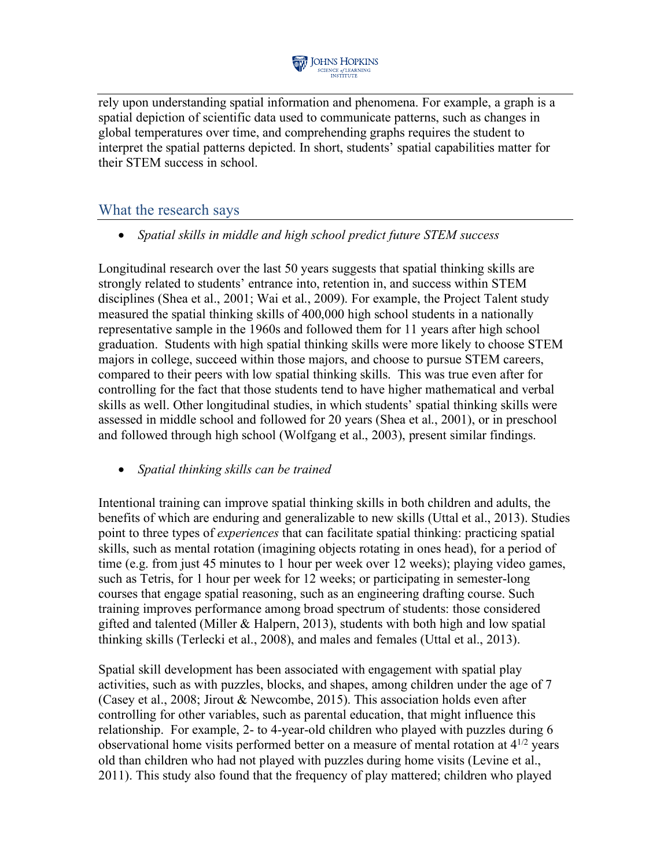

rely upon understanding spatial information and phenomena. For example, a graph is a spatial depiction of scientific data used to communicate patterns, such as changes in global temperatures over time, and comprehending graphs requires the student to interpret the spatial patterns depicted. In short, students' spatial capabilities matter for their STEM success in school.

### What the research says

• *Spatial skills in middle and high school predict future STEM success*

Longitudinal research over the last 50 years suggests that spatial thinking skills are strongly related to students' entrance into, retention in, and success within STEM disciplines (Shea et al., 2001; Wai et al., 2009). For example, the Project Talent study measured the spatial thinking skills of 400,000 high school students in a nationally representative sample in the 1960s and followed them for 11 years after high school graduation. Students with high spatial thinking skills were more likely to choose STEM majors in college, succeed within those majors, and choose to pursue STEM careers, compared to their peers with low spatial thinking skills. This was true even after for controlling for the fact that those students tend to have higher mathematical and verbal skills as well. Other longitudinal studies, in which students' spatial thinking skills were assessed in middle school and followed for 20 years (Shea et al., 2001), or in preschool and followed through high school (Wolfgang et al., 2003), present similar findings.

• *Spatial thinking skills can be trained* 

Intentional training can improve spatial thinking skills in both children and adults, the benefits of which are enduring and generalizable to new skills (Uttal et al., 2013). Studies point to three types of *experiences* that can facilitate spatial thinking: practicing spatial skills, such as mental rotation (imagining objects rotating in ones head), for a period of time (e.g. from just 45 minutes to 1 hour per week over 12 weeks); playing video games, such as Tetris, for 1 hour per week for 12 weeks; or participating in semester-long courses that engage spatial reasoning, such as an engineering drafting course. Such training improves performance among broad spectrum of students: those considered gifted and talented (Miller & Halpern, 2013), students with both high and low spatial thinking skills (Terlecki et al., 2008), and males and females (Uttal et al., 2013).

Spatial skill development has been associated with engagement with spatial play activities, such as with puzzles, blocks, and shapes, among children under the age of 7 (Casey et al., 2008; Jirout & Newcombe, 2015). This association holds even after controlling for other variables, such as parental education, that might influence this relationship. For example, 2- to 4-year-old children who played with puzzles during 6 observational home visits performed better on a measure of mental rotation at  $4^{1/2}$  years old than children who had not played with puzzles during home visits (Levine et al., 2011). This study also found that the frequency of play mattered; children who played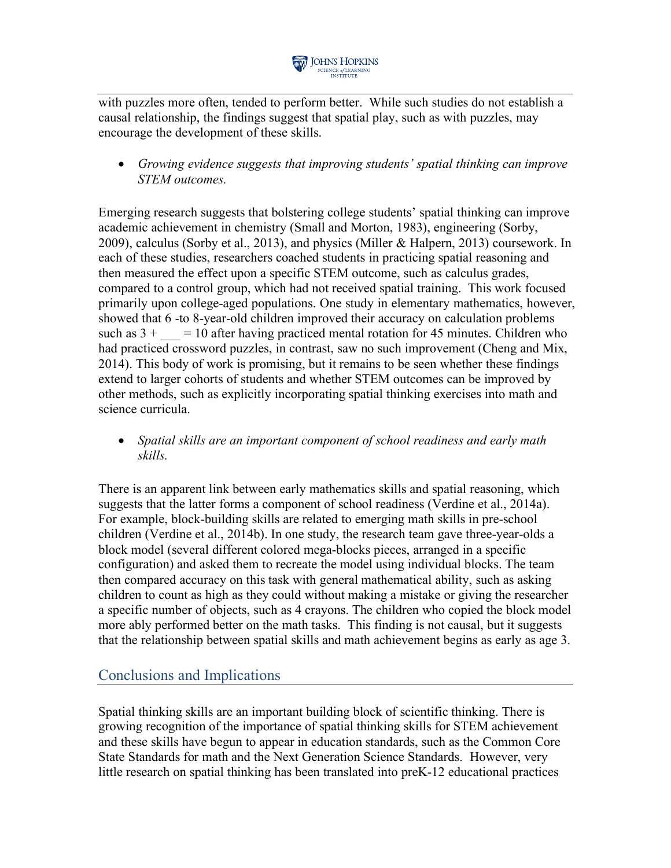

with puzzles more often, tended to perform better. While such studies do not establish a causal relationship, the findings suggest that spatial play, such as with puzzles, may encourage the development of these skills.

• *Growing evidence suggests that improving students' spatial thinking can improve STEM outcomes.*

Emerging research suggests that bolstering college students' spatial thinking can improve academic achievement in chemistry (Small and Morton, 1983), engineering (Sorby, 2009), calculus (Sorby et al., 2013), and physics (Miller & Halpern, 2013) coursework. In each of these studies, researchers coached students in practicing spatial reasoning and then measured the effect upon a specific STEM outcome, such as calculus grades, compared to a control group, which had not received spatial training. This work focused primarily upon college-aged populations. One study in elementary mathematics, however, showed that 6 -to 8-year-old children improved their accuracy on calculation problems such as  $3 + \phantom{0} = 10$  after having practiced mental rotation for 45 minutes. Children who had practiced crossword puzzles, in contrast, saw no such improvement (Cheng and Mix, 2014). This body of work is promising, but it remains to be seen whether these findings extend to larger cohorts of students and whether STEM outcomes can be improved by other methods, such as explicitly incorporating spatial thinking exercises into math and science curricula.

• *Spatial skills are an important component of school readiness and early math skills.*

There is an apparent link between early mathematics skills and spatial reasoning, which suggests that the latter forms a component of school readiness (Verdine et al., 2014a). For example, block-building skills are related to emerging math skills in pre-school children (Verdine et al., 2014b). In one study, the research team gave three-year-olds a block model (several different colored mega-blocks pieces, arranged in a specific configuration) and asked them to recreate the model using individual blocks. The team then compared accuracy on this task with general mathematical ability, such as asking children to count as high as they could without making a mistake or giving the researcher a specific number of objects, such as 4 crayons. The children who copied the block model more ably performed better on the math tasks. This finding is not causal, but it suggests that the relationship between spatial skills and math achievement begins as early as age 3.

## Conclusions and Implications

Spatial thinking skills are an important building block of scientific thinking. There is growing recognition of the importance of spatial thinking skills for STEM achievement and these skills have begun to appear in education standards, such as the Common Core State Standards for math and the Next Generation Science Standards. However, very little research on spatial thinking has been translated into preK-12 educational practices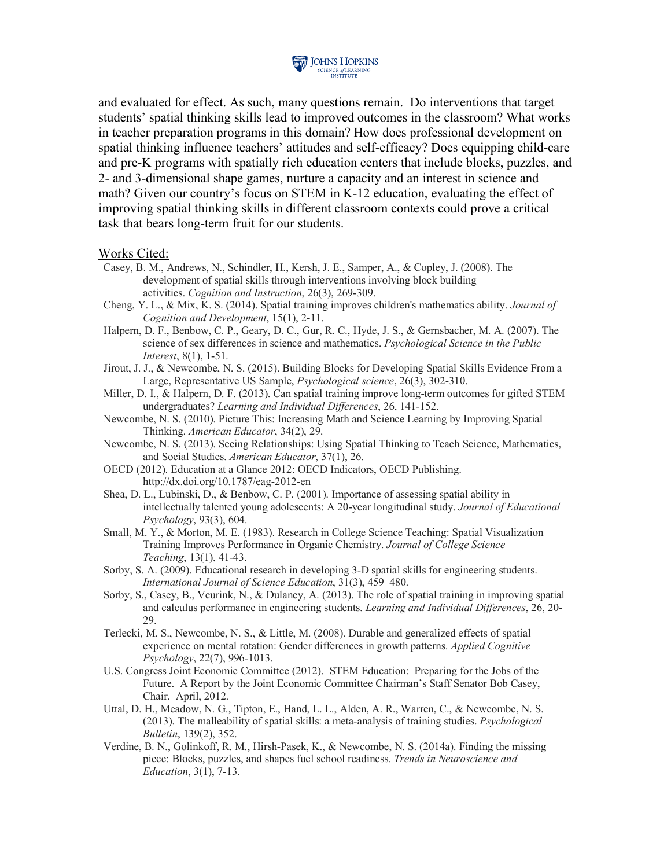

and evaluated for effect. As such, many questions remain. Do interventions that target students' spatial thinking skills lead to improved outcomes in the classroom? What works in teacher preparation programs in this domain? How does professional development on spatial thinking influence teachers' attitudes and self-efficacy? Does equipping child-care and pre-K programs with spatially rich education centers that include blocks, puzzles, and 2- and 3-dimensional shape games, nurture a capacity and an interest in science and math? Given our country's focus on STEM in K-12 education, evaluating the effect of improving spatial thinking skills in different classroom contexts could prove a critical task that bears long-term fruit for our students.

#### Works Cited:

- Casey, B. M., Andrews, N., Schindler, H., Kersh, J. E., Samper, A., & Copley, J. (2008). The development of spatial skills through interventions involving block building activities. *Cognition and Instruction*, 26(3), 269-309.
- Cheng, Y. L., & Mix, K. S. (2014). Spatial training improves children's mathematics ability. *Journal of Cognition and Development*, 15(1), 2-11.
- Halpern, D. F., Benbow, C. P., Geary, D. C., Gur, R. C., Hyde, J. S., & Gernsbacher, M. A. (2007). The science of sex differences in science and mathematics. *Psychological Science in the Public Interest*, 8(1), 1-51.
- Jirout, J. J., & Newcombe, N. S. (2015). Building Blocks for Developing Spatial Skills Evidence From a Large, Representative US Sample, *Psychological science*, 26(3), 302-310.
- Miller, D. I., & Halpern, D. F. (2013). Can spatial training improve long-term outcomes for gifted STEM undergraduates? *Learning and Individual Differences*, 26, 141-152.
- Newcombe, N. S. (2010). Picture This: Increasing Math and Science Learning by Improving Spatial Thinking. *American Educator*, 34(2), 29.
- Newcombe, N. S. (2013). Seeing Relationships: Using Spatial Thinking to Teach Science, Mathematics, and Social Studies. *American Educator*, 37(1), 26.
- OECD (2012). Education at a Glance 2012: OECD Indicators, OECD Publishing. http://dx.doi.org/10.1787/eag-2012-en
- Shea, D. L., Lubinski, D., & Benbow, C. P. (2001). Importance of assessing spatial ability in intellectually talented young adolescents: A 20-year longitudinal study. *Journal of Educational Psychology*, 93(3), 604.
- Small, M. Y., & Morton, M. E. (1983). Research in College Science Teaching: Spatial Visualization Training Improves Performance in Organic Chemistry. *Journal of College Science Teaching*, 13(1), 41-43.
- Sorby, S. A. (2009). Educational research in developing 3-D spatial skills for engineering students. *International Journal of Science Education*, 31(3), 459–480.
- Sorby, S., Casey, B., Veurink, N., & Dulaney, A. (2013). The role of spatial training in improving spatial and calculus performance in engineering students. *Learning and Individual Differences*, 26, 20- 29.
- Terlecki, M. S., Newcombe, N. S., & Little, M. (2008). Durable and generalized effects of spatial experience on mental rotation: Gender differences in growth patterns. *Applied Cognitive Psychology*, 22(7), 996-1013.
- U.S. Congress Joint Economic Committee (2012). STEM Education: Preparing for the Jobs of the Future. A Report by the Joint Economic Committee Chairman's Staff Senator Bob Casey, Chair. April, 2012.
- Uttal, D. H., Meadow, N. G., Tipton, E., Hand, L. L., Alden, A. R., Warren, C., & Newcombe, N. S. (2013). The malleability of spatial skills: a meta-analysis of training studies. *Psychological Bulletin*, 139(2), 352.
- Verdine, B. N., Golinkoff, R. M., Hirsh-Pasek, K., & Newcombe, N. S. (2014a). Finding the missing piece: Blocks, puzzles, and shapes fuel school readiness. *Trends in Neuroscience and Education*, 3(1), 7-13.